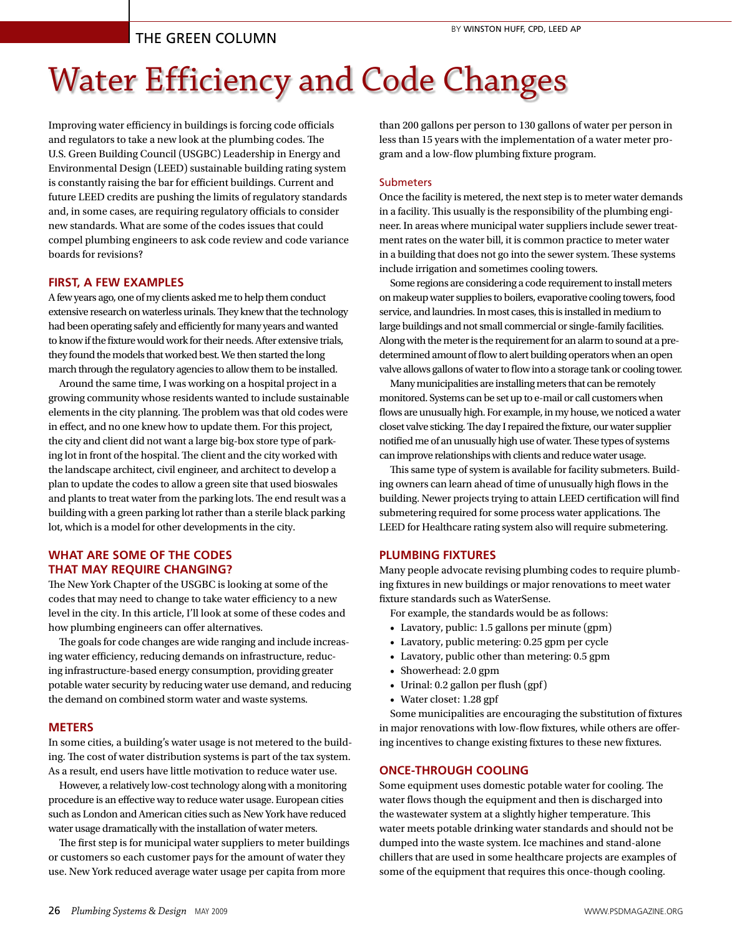# The Green Column

# Water Efficiency and Code Changes

Improving water efficiency in buildings is forcing code officials and regulators to take a new look at the plumbing codes. The U.S. Green Building Council (USGBC) Leadership in Energy and Environmental Design (LEED) sustainable building rating system is constantly raising the bar for efficient buildings. Current and future LEED credits are pushing the limits of regulatory standards and, in some cases, are requiring regulatory officials to consider new standards. What are some of the codes issues that could compel plumbing engineers to ask code review and code variance boards for revisions?

# **FIRST, A FEW EXAMPLES**

A few years ago, one of my clients asked me to help them conduct extensive research on waterless urinals. They knew that the technology had been operating safely and efficiently for many years and wanted to know if the fixture would work for their needs. After extensive trials, they found the models that worked best. We then started the long march through the regulatory agencies to allow them to be installed.

Around the same time, I was working on a hospital project in a growing community whose residents wanted to include sustainable elements in the city planning. The problem was that old codes were in effect, and no one knew how to update them. For this project, the city and client did not want a large big-box store type of parking lot in front of the hospital. The client and the city worked with the landscape architect, civil engineer, and architect to develop a plan to update the codes to allow a green site that used bioswales and plants to treat water from the parking lots. The end result was a building with a green parking lot rather than a sterile black parking lot, which is a model for other developments in the city.

# **WHAT ARE SOME OF THE CODES THAT MAY REQUIRE CHANGING?**

The New York Chapter of the USGBC is looking at some of the codes that may need to change to take water efficiency to a new level in the city. In this article, I'll look at some of these codes and how plumbing engineers can offer alternatives.

The goals for code changes are wide ranging and include increasing water efficiency, reducing demands on infrastructure, reducing infrastructure-based energy consumption, providing greater potable water security by reducing water use demand, and reducing the demand on combined storm water and waste systems.

#### **METERS**

In some cities, a building's water usage is not metered to the building. The cost of water distribution systems is part of the tax system. As a result, end users have little motivation to reduce water use.

However, a relatively low-cost technology along with a monitoring procedure is an effective way to reduce water usage. European cities such as London and American cities such as New York have reduced water usage dramatically with the installation of water meters.

The first step is for municipal water suppliers to meter buildings or customers so each customer pays for the amount of water they use. New York reduced average water usage per capita from more

than 200 gallons per person to 130 gallons of water per person in less than 15 years with the implementation of a water meter program and a low-flow plumbing fixture program.

#### Submeters

Once the facility is metered, the next step is to meter water demands in a facility. This usually is the responsibility of the plumbing engineer. In areas where municipal water suppliers include sewer treatment rates on the water bill, it is common practice to meter water in a building that does not go into the sewer system. These systems include irrigation and sometimes cooling towers.

Some regions are considering a code requirement to install meters on makeup water supplies to boilers, evaporative cooling towers, food service, and laundries. In most cases, this is installed in medium to large buildings and not small commercial or single-family facilities. Along with the meter is the requirement for an alarm to sound at a predetermined amount of flow to alert building operators when an open valve allows gallons of water to flow into a storage tank or cooling tower.

Many municipalities are installing meters that can be remotely monitored. Systems can be set up to e-mail or call customers when flows are unusually high. For example, in my house, we noticed a water closet valve sticking. The day I repaired the fixture, our water supplier notified me of an unusually high use of water. These types of systems can improve relationships with clients and reduce water usage.

This same type of system is available for facility submeters. Building owners can learn ahead of time of unusually high flows in the building. Newer projects trying to attain LEED certification will find submetering required for some process water applications. The LEED for Healthcare rating system also will require submetering.

# **PLUMBING FIXTURES**

Many people advocate revising plumbing codes to require plumbing fixtures in new buildings or major renovations to meet water fixture standards such as WaterSense.

For example, the standards would be as follows:

- • Lavatory, public: 1.5 gallons per minute (gpm)
- • Lavatory, public metering: 0.25 gpm per cycle
- • Lavatory, public other than metering: 0.5 gpm
- Showerhead: 2.0 gpm
- • Urinal: 0.2 gallon per flush (gpf )
- • Water closet: 1.28 gpf

Some municipalities are encouraging the substitution of fixtures in major renovations with low-flow fixtures, while others are offering incentives to change existing fixtures to these new fixtures.

#### **ONCE-THROUGH COOLING**

Some equipment uses domestic potable water for cooling. The water flows though the equipment and then is discharged into the wastewater system at a slightly higher temperature. This water meets potable drinking water standards and should not be dumped into the waste system. Ice machines and stand-alone chillers that are used in some healthcare projects are examples of some of the equipment that requires this once-though cooling.